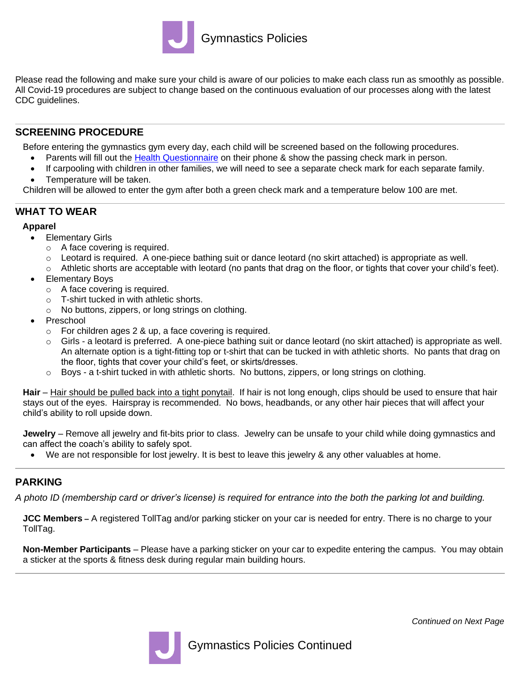

Please read the following and make sure your child is aware of our policies to make each class run as smoothly as possible. All Covid-19 procedures are subject to change based on the continuous evaluation of our processes along with the latest CDC guidelines.

## **SCREENING PROCEDURE**

Before entering the gymnastics gym every day, each child will be screened based on the following procedures.

- Parents will fill out the [Health Questionnaire](https://jccdallas.org/entry/) on their phone & show the passing check mark in person.
- If carpooling with children in other families, we will need to see a separate check mark for each separate family.
- Temperature will be taken.

Children will be allowed to enter the gym after both a green check mark and a temperature below 100 are met.

# **WHAT TO WEAR**

### **Apparel**

- Elementary Girls
	- o A face covering is required.
	- o Leotard is required. A one-piece bathing suit or dance leotard (no skirt attached) is appropriate as well.
	- $\circ$  Athletic shorts are acceptable with leotard (no pants that drag on the floor, or tights that cover your child's feet).
- Elementary Boys
	- o A face covering is required.
	- o T-shirt tucked in with athletic shorts.
	- o No buttons, zippers, or long strings on clothing.
- Preschool
	- o For children ages 2 & up, a face covering is required.
	- $\circ$  Girls a leotard is preferred. A one-piece bathing suit or dance leotard (no skirt attached) is appropriate as well. An alternate option is a tight-fitting top or t-shirt that can be tucked in with athletic shorts. No pants that drag on the floor, tights that cover your child's feet, or skirts/dresses.
	- $\circ$  Boys a t-shirt tucked in with athletic shorts. No buttons, zippers, or long strings on clothing.

**Hair** – Hair should be pulled back into a tight ponytail. If hair is not long enough, clips should be used to ensure that hair stays out of the eyes. Hairspray is recommended. No bows, headbands, or any other hair pieces that will affect your child's ability to roll upside down.

**Jewelry** – Remove all jewelry and fit-bits prior to class. Jewelry can be unsafe to your child while doing gymnastics and can affect the coach's ability to safely spot.

• We are not responsible for lost jewelry. It is best to leave this jewelry & any other valuables at home.

# **PARKING**

*A photo ID (membership card or driver's license) is required for entrance into the both the parking lot and building.* 

**JCC Members –** A registered TollTag and/or parking sticker on your car is needed for entry. There is no charge to your TollTag.

**Non-Member Participants** – Please have a parking sticker on your car to expedite entering the campus. You may obtain a sticker at the sports & fitness desk during regular main building hours.



*Continued on Next Page*